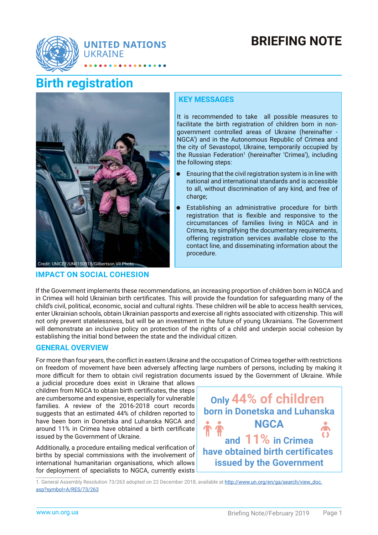# **BRIEFING NOTE**



# **Birth registration**



# Credit: UNICEF/UN0150918/Gilbertson VII Photo

## **IMPACT ON SOCIAL COHESION**

#### **KEY MESSAGES**

It is recommended to take all possible measures to facilitate the birth registration of children born in nongovernment controlled areas of Ukraine (hereinafter - NGCA') and in the Autonomous Republic of Crimea and the city of Sevastopol, Ukraine, temporarily occupied by the Russian Federation<sup>1</sup> (hereinafter 'Crimea'), including the following steps:

- Ensuring that the civil registration system is in line with national and international standards and is accessible to all, without discrimination of any kind, and free of charge;
- Establishing an administrative procedure for birth registration that is flexible and responsive to the circumstances of families living in NGCA and in Crimea, by simplifying the documentary requirements, offering registration services available close to the contact line, and disseminating information about the procedure.

If the Government implements these recommendations, an increasing proportion of children born in NGCA and in Crimea will hold Ukrainian birth certificates. This will provide the foundation for safeguarding many of the child's civil, political, economic, social and cultural rights. These children will be able to access health services, enter Ukrainian schools, obtain Ukrainian passports and exercise all rights associated with citizenship. This will not only prevent statelessness, but will be an investment in the future of young Ukrainians. The Government will demonstrate an inclusive policy on protection of the rights of a child and underpin social cohesion by establishing the initial bond between the state and the individual citizen.

### **GENERAL OVERVIEW**

For more than four years, the conflict in eastern Ukraine and the occupation of Crimea together with restrictions on freedom of movement have been adversely affecting large numbers of persons, including by making it more difficult for them to obtain civil registration documents issued by the Government of Ukraine. While

a judicial procedure does exist in Ukraine that allows children from NGCA to obtain birth certificates, the steps are cumbersome and expensive, especially for vulnerable families. A review of the 2016-2018 court records suggests that an estimated 44% of children reported to have been born in Donetska and Luhanska NGCA and around 11% in Crimea have obtained a birth certificate issued by the Government of Ukraine.

Additionally, a procedure entailing medical verification of births by special commissions with the involvement of international humanitarian organisations, which allows for deployment of specialists to NGCA, currently exists



1. General Assembly Resolution 73/263 adopted on 22 December 2018, available at http://www.un.org/en/ga/search/view\_doc. asp?symbol=A/RES/73/263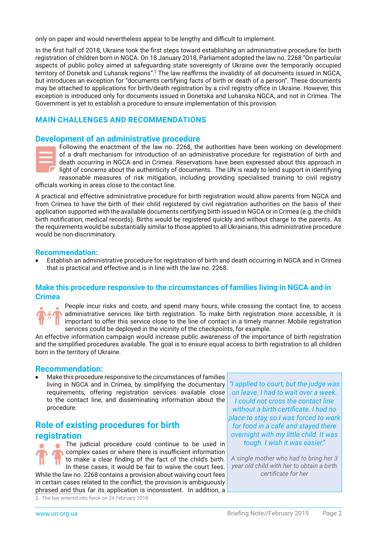only on paper and would nevertheless appear to be lengthy and difficult to implement.

In the first half of 2018, Ukraine took the first steps toward establishing an administrative procedure for birth registration of children born in NGCA. On 18 January 2018, Parliament adopted the law no. 2268 "On particular aspects of public policy aimed at safeguarding state sovereignty of Ukraine over the temporarily occupied territory of Donetsk and Luhansk regions".<sup>2</sup> The law reaffirms the invalidity of all documents issued in NGCA, but introduces an exception for "documents certifying facts of birth or death of a person". These documents may be attached to applications for birth/death registration by a civil registry office in Ukraine. However, this exception is introduced only for documents issued in Donetska and Luhanska NGCA, and not in Crimea. The Government is yet to establish a procedure to ensure implementation of this provision.

## **MAIN CHALLENGES AND RECOMMENDATIONS**

#### **Development of an administrative procedure**



Following the enactment of the law no. 2268, the authorities have been working on development of a draft mechanism for introduction of an administrative procedure for registration of birth and death occurring in NGCA and in Crimea. Reservations have been expressed about this approach in light of concerns about the authenticity of documents. The UN is ready to lend support in identifying reasonable measures of risk mitigation, including providing specialised training to civil registry

officials working in areas close to the contact line.

A practical and effective administrative procedure for birth registration would allow parents from NGCA and from Crimea to have the birth of their child registered by civil registration authorities on the basis of their application supported with the available documents certifying birth issued in NGCA or in Crimea (e.g. the child's birth notification, medical records). Births would be registered quickly and without charge to the parents. As the requirements would be substantially similar to those applied to all Ukrainians, this administrative procedure would be non-discriminatory.

#### **Recommendation:**

• Establish an administrative procedure for registration of birth and death occurring in NGCA and in Crimea that is practical and effective and is in line with the law no. 2268.

#### **Make this procedure responsive to the circumstances of families living in NGCA and in Crimea**



People incur risks and costs, and spend many hours, while crossing the contact line, to access **A** administrative services like birth registration. To make birth registration more accessible, it is **i** important to offer this service close to the line of contact in a timely manner. Mobile registration services could be deployed in the vicinity of the checkpoints, for example.

An effective information campaign would increase public awareness of the importance of birth registration and the simplified procedures available. The goal is to ensure equal access to birth registration to all children born in the territory of Ukraine.

#### **Recommendation:**

• Make this procedure responsive to the circumstances of families living in NGCA and in Crimea, by simplifying the documentary requirements, offering registration services available close to the contact line, and disseminating information about the procedure.

# **Role of existing procedures for birth registration**

The judicial procedure could continue to be used in  $\bigcap$  complex cases or where there is insufficient information to make a clear finding of the fact of the child's birth. In these cases, it would be fair to waive the court fees. While the law no. 2268 contains a provision about waiving court fees in certain cases related to the conflict, the provision is ambiguously phrased and thus far its application is inconsistent. In addition, a

*"I applied to court, but the judge was on leave. I had to wait over a week. I could not cross the contact line*  without a birth certificate. I had no *place to stay, so I was forced to work for food in a café and stayed there overnight with my little child. It was tough. I wish it was easier."* 

*A single mother who had to bring her 3 year old child with her to obtain a birth certifi cate for her*

<sup>2.</sup> The law entered into force on 24 February 2018.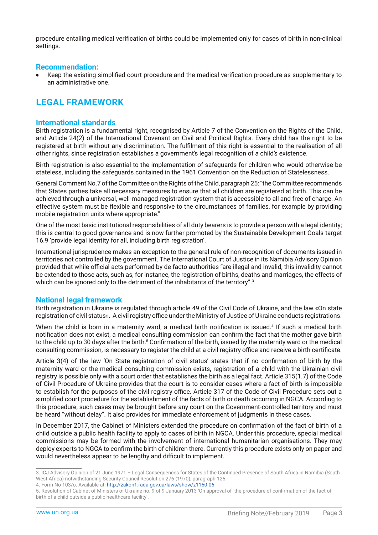procedure entailing medical verification of births could be implemented only for cases of birth in non-clinical settings.

#### **Recommendation:**

Keep the existing simplified court procedure and the medical verification procedure as supplementary to an administrative one.

## **LEGAL FRAMEWORK**

#### **International standards**

Birth registration is a fundamental right, recognised by Article 7 of the Convention on the Rights of the Child, and Article 24(2) of the International Covenant on Civil and Political Rights. Every child has the right to be registered at birth without any discrimination. The fulfilment of this right is essential to the realisation of all other rights, since registration establishes a government's legal recognition of a child's existence.

Birth registration is also essential to the implementation of safeguards for children who would otherwise be stateless, including the safeguards contained in the 1961 Convention on the Reduction of Statelessness.

General Comment No.7 of the Committee on the Rights of the Child, paragraph 25: "the Committee recommends that States parties take all necessary measures to ensure that all children are registered at birth. This can be achieved through a universal, well-managed registration system that is accessible to all and free of charge. An effective system must be flexible and responsive to the circumstances of families, for example by providing mobile registration units where appropriate."

One of the most basic institutional responsibilities of all duty bearers is to provide a person with a legal identity; this is central to good governance and is now further promoted by the Sustainable Development Goals target 16.9 'provide legal identity for all, including birth registration'.

International jurisprudence makes an exception to the general rule of non-recognition of documents issued in territories not controlled by the government. The International Court of Justice in its Namibia Advisory Opinion provided that while official acts performed by de facto authorities "are illegal and invalid, this invalidity cannot be extended to those acts, such as, for instance, the registration of births, deaths and marriages, the effects of which can be ignored only to the detriment of the inhabitants of the territory".<sup>3</sup>

#### **National legal framework**

Birth registration in Ukraine is regulated through article 49 of the Civil Code of Ukraine, and the law «On state registration of civil status». A civil registry office under the Ministry of Justice of Ukraine conducts registrations.

When the child is born in a maternity ward, a medical birth notification is issued.<sup>4</sup> If such a medical birth notification does not exist, a medical consulting commission can confirm the fact that the mother gave birth to the child up to 30 days after the birth.<sup>5</sup> Confirmation of the birth, issued by the maternity ward or the medical consulting commission, is necessary to register the child at a civil registry office and receive a birth certificate.

Article 3(4) of the law 'On State registration of civil status' states that if no confirmation of birth by the maternity ward or the medical consulting commission exists, registration of a child with the Ukrainian civil registry is possible only with a court order that establishes the birth as a legal fact. Article 315(1.7) of the Code of Civil Procedure of Ukraine provides that the court is to consider cases where a fact of birth is impossible to establish for the purposes of the civil registry office. Article 317 of the Code of Civil Procedure sets out a simplified court procedure for the establishment of the facts of birth or death occurring in NGCA. According to this procedure, such cases may be brought before any court on the Government-controlled territory and must be heard "without delay". It also provides for immediate enforcement of judgments in these cases.

In December 2017, the Cabinet of Ministers extended the procedure on confirmation of the fact of birth of a child outside a public health facility to apply to cases of birth in NGCA. Under this procedure, special medical commissions may be formed with the involvement of international humanitarian organisations. They may deploy experts to NGCA to confirm the birth of children there. Currently this procedure exists only on paper and would nevertheless appear to be lengthy and difficult to implement.

<sup>3.</sup> ICJ Advisory Opinion of 21 June 1971 – Legal Consequences for States of the Continued Presence of South Africa in Namibia (South West Africa) notwithstanding Security Council Resolution 276 (1970), paragraph 125.

<sup>4.</sup> Form No 103/o. Available at: http://zakon1.rada.gov.ua/laws/show/z1150-06

<sup>5.</sup> Resolution of Cabinet of Ministers of Ukraine no. 9 of 9 January 2013 'On approval of the procedure of confirmation of the fact of birth of a child outside a public healthcare facility'.